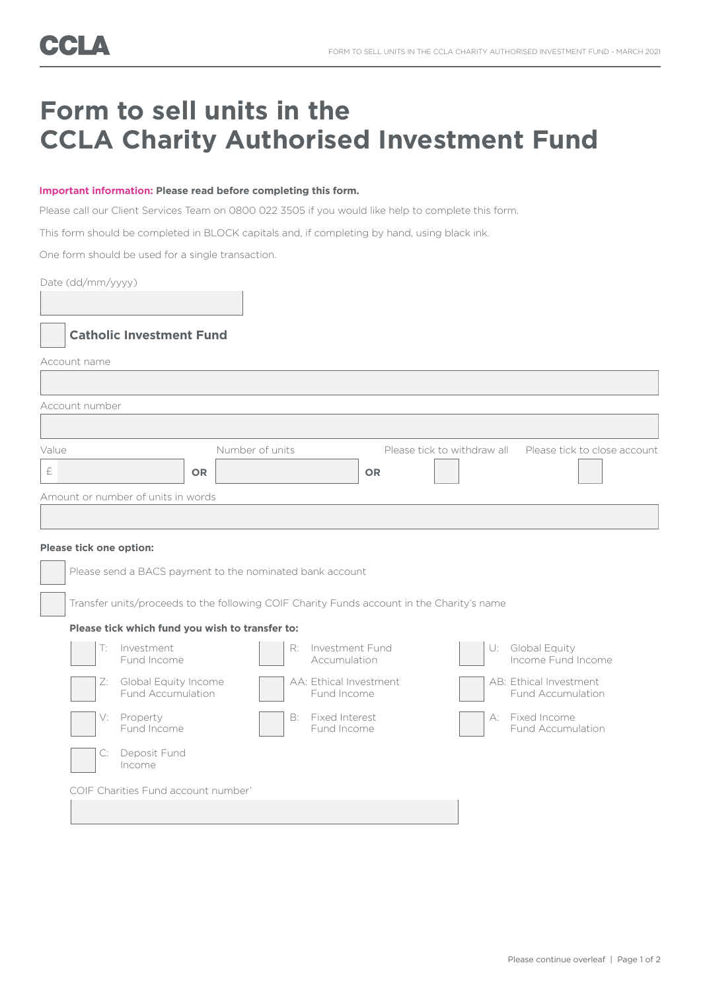# **Form to sell units in the CCLA Charity Authorised Investment Fund**

#### **Important information: Please read before completing this form.**

Please call our Client Services Team on 0800 022 3505 if you would like help to complete this form.

This form should be completed in BLOCK capitals and, if completing by hand, using black ink.

One form should be used for a single transaction.

Date (dd/mm/yyyy)

## **Catholic Investment Fund**

Account name

| Account number                     |                              |           |                                                          |
|------------------------------------|------------------------------|-----------|----------------------------------------------------------|
|                                    |                              |           |                                                          |
| Value                              | Number of units<br><b>OR</b> | <b>OR</b> | Please tick to withdraw all Please tick to close account |
| Amount or number of units in words |                              |           |                                                          |

#### **Please tick one option:**

| Please send a BACS payment to the nominated bank account                                  |                                                  |    |                                       |    |                                                    |  |
|-------------------------------------------------------------------------------------------|--------------------------------------------------|----|---------------------------------------|----|----------------------------------------------------|--|
| Transfer units/proceeds to the following COIF Charity Funds account in the Charity's name |                                                  |    |                                       |    |                                                    |  |
|                                                                                           | Please tick which fund you wish to transfer to:  |    |                                       |    |                                                    |  |
|                                                                                           | Investment<br>Fund Income                        | R: | Investment Fund<br>Accumulation       | U: | Global Equity<br>Income Fund Income                |  |
| Z:                                                                                        | Global Equity Income<br><b>Fund Accumulation</b> |    | AA: Ethical Investment<br>Fund Income |    | AB: Ethical Investment<br><b>Fund Accumulation</b> |  |
|                                                                                           | V: Property<br>Fund Income                       | B: | Fixed Interest<br>Fund Income         |    | A: Fixed Income<br><b>Fund Accumulation</b>        |  |
|                                                                                           | Deposit Fund<br>Income                           |    |                                       |    |                                                    |  |
|                                                                                           | COIF Charities Fund account number'              |    |                                       |    |                                                    |  |
|                                                                                           |                                                  |    |                                       |    |                                                    |  |